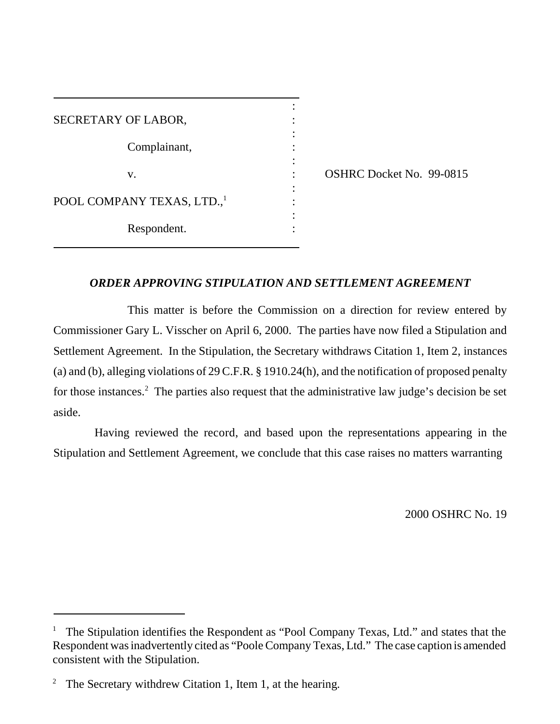| SECRETARY OF LABOR,                    |  |
|----------------------------------------|--|
| Complainant,                           |  |
| V.                                     |  |
|                                        |  |
| POOL COMPANY TEXAS, LTD., <sup>1</sup> |  |
| Respondent.                            |  |

 $\overline{a}$ 

: OSHRC Docket No. 99-0815

# *ORDER APPROVING STIPULATION AND SETTLEMENT AGREEMENT*

This matter is before the Commission on a direction for review entered by Commissioner Gary L. Visscher on April 6, 2000. The parties have now filed a Stipulation and Settlement Agreement. In the Stipulation, the Secretary withdraws Citation 1, Item 2, instances (a) and (b), alleging violations of 29 C.F.R. § 1910.24(h), and the notification of proposed penalty for those instances.<sup>2</sup> The parties also request that the administrative law judge's decision be set aside.

Having reviewed the record, and based upon the representations appearing in the Stipulation and Settlement Agreement, we conclude that this case raises no matters warranting

2000 OSHRC No. 19

<sup>1</sup> The Stipulation identifies the Respondent as "Pool Company Texas, Ltd." and states that the Respondent was inadvertently cited as "Poole Company Texas, Ltd." The case caption is amended consistent with the Stipulation.

<sup>&</sup>lt;sup>2</sup> The Secretary withdrew Citation 1, Item 1, at the hearing.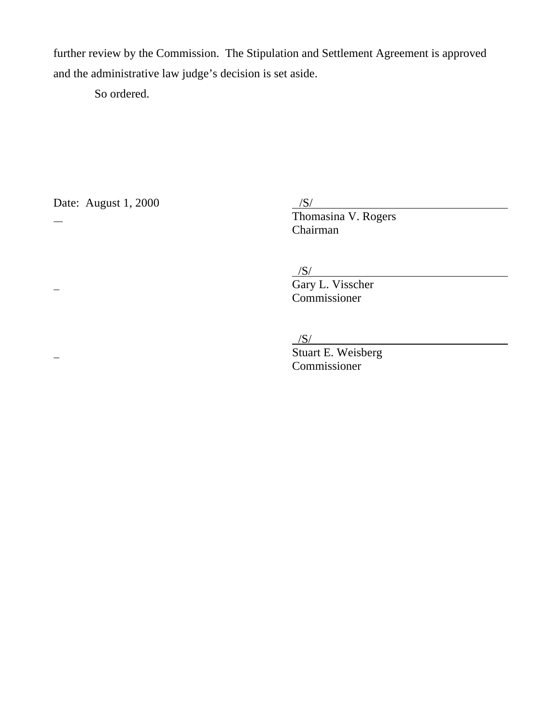further review by the Commission. The Stipulation and Settlement Agreement is approved and the administrative law judge's decision is set aside.

So ordered.

Date: August  $1, 2000$ 

Date: August 1, 2000<br>  $\frac{S}{S}$  Thomasina V. Rogers Chairman

 $\frac{|S|}{|S|}$ 

 Gary L. Visscher Commissioner

 $/S/$ 

 Stuart E. Weisberg Commissioner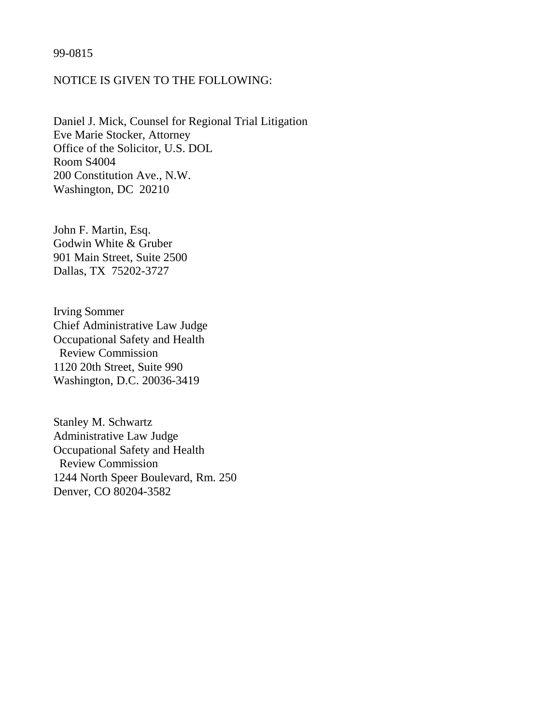# 99-0815

# NOTICE IS GIVEN TO THE FOLLOWING:

Daniel J. Mick, Counsel for Regional Trial Litigation Eve Marie Stocker, Attorney Office of the Solicitor, U.S. DOL Room S4004 200 Constitution Ave., N.W. Washington, DC 20210

John F. Martin, Esq. Godwin White & Gruber 901 Main Street, Suite 2500 Dallas, TX 75202-3727

Irving Sommer Chief Administrative Law Judge Occupational Safety and Health Review Commission 1120 20th Street, Suite 990 Washington, D.C. 20036-3419

Stanley M. Schwartz Administrative Law Judge Occupational Safety and Health Review Commission 1244 North Speer Boulevard, Rm. 250 Denver, CO 80204-3582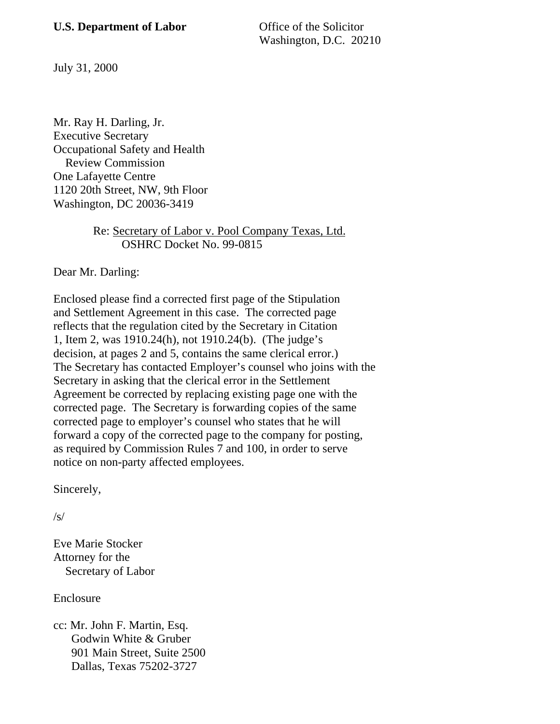Washington, D.C. 20210

July 31, 2000

Mr. Ray H. Darling, Jr. Executive Secretary Occupational Safety and Health Review Commission One Lafayette Centre 1120 20th Street, NW, 9th Floor Washington, DC 20036-3419

# Re: Secretary of Labor v. Pool Company Texas, Ltd. OSHRC Docket No. 99-0815

Dear Mr. Darling:

Enclosed please find a corrected first page of the Stipulation and Settlement Agreement in this case. The corrected page reflects that the regulation cited by the Secretary in Citation 1, Item 2, was 1910.24(h), not 1910.24(b). (The judge's decision, at pages 2 and 5, contains the same clerical error.) The Secretary has contacted Employer's counsel who joins with the Secretary in asking that the clerical error in the Settlement Agreement be corrected by replacing existing page one with the corrected page. The Secretary is forwarding copies of the same corrected page to employer's counsel who states that he will forward a copy of the corrected page to the company for posting, as required by Commission Rules 7 and 100, in order to serve notice on non-party affected employees.

Sincerely,

 $\sqrt{s}$ 

Eve Marie Stocker Attorney for the Secretary of Labor

Enclosure

cc: Mr. John F. Martin, Esq. Godwin White & Gruber 901 Main Street, Suite 2500 Dallas, Texas 75202-3727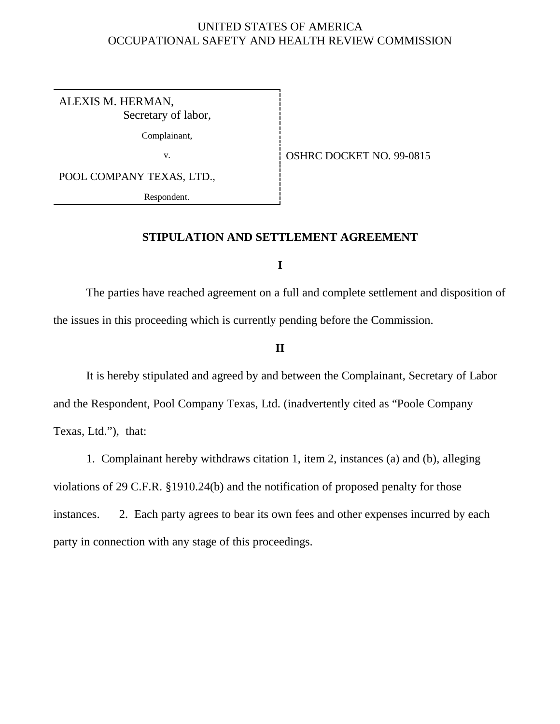# UNITED STATES OF AMERICA OCCUPATIONAL SAFETY AND HEALTH REVIEW COMMISSION

ALEXIS M. HERMAN, Secretary of labor,

Complainant,

v. 69-0815

POOL COMPANY TEXAS, LTD.,

Respondent.

# **STIPULATION AND SETTLEMENT AGREEMENT**

**I**

The parties have reached agreement on a full and complete settlement and disposition of the issues in this proceeding which is currently pending before the Commission.

# **II**

It is hereby stipulated and agreed by and between the Complainant, Secretary of Labor and the Respondent, Pool Company Texas, Ltd. (inadvertently cited as "Poole Company Texas, Ltd."), that:

1. Complainant hereby withdraws citation 1, item 2, instances (a) and (b), alleging violations of 29 C.F.R. §1910.24(b) and the notification of proposed penalty for those instances. 2. Each party agrees to bear its own fees and other expenses incurred by each party in connection with any stage of this proceedings.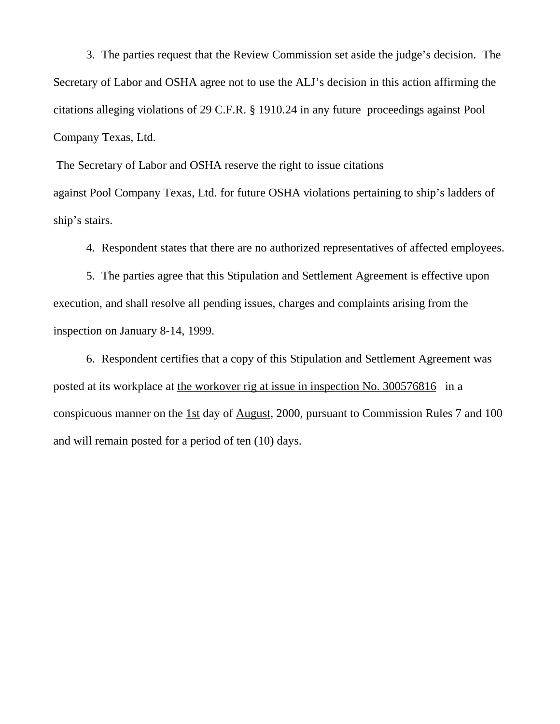3. The parties request that the Review Commission set aside the judge's decision. The Secretary of Labor and OSHA agree not to use the ALJ's decision in this action affirming the citations alleging violations of 29 C.F.R. § 1910.24 in any future proceedings against Pool Company Texas, Ltd.

 The Secretary of Labor and OSHA reserve the right to issue citations against Pool Company Texas, Ltd. for future OSHA violations pertaining to ship's ladders of ship's stairs.

4. Respondent states that there are no authorized representatives of affected employees.

5. The parties agree that this Stipulation and Settlement Agreement is effective upon execution, and shall resolve all pending issues, charges and complaints arising from the inspection on January 8-14, 1999.

6. Respondent certifies that a copy of this Stipulation and Settlement Agreement was posted at its workplace at the workover rig at issue in inspection No. 300576816 in a conspicuous manner on the 1st day of August, 2000, pursuant to Commission Rules 7 and 100 and will remain posted for a period of ten (10) days.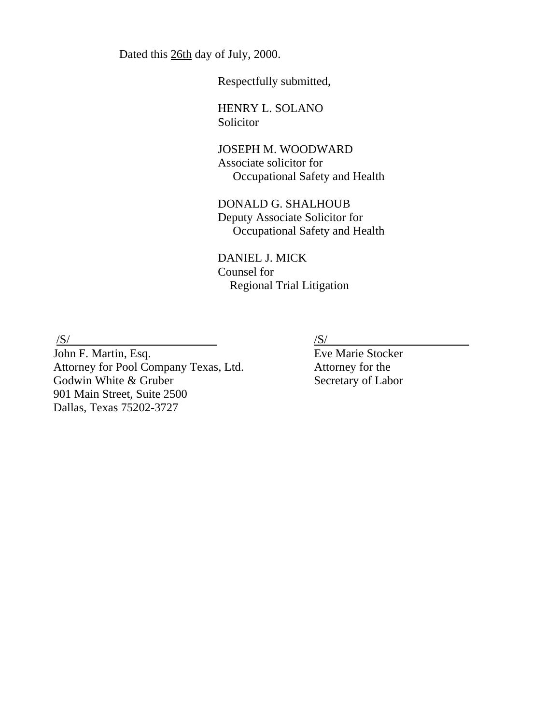Dated this 26th day of July, 2000.

Respectfully submitted,

HENRY L. SOLANO Solicitor

JOSEPH M. WOODWARD Associate solicitor for Occupational Safety and Health

DONALD G. SHALHOUB Deputy Associate Solicitor for Occupational Safety and Health

DANIEL J. MICK Counsel for Regional Trial Litigation

 $\sqrt{S/}$ 

John F. Martin, Esq. Attorney for Pool Company Texas, Ltd. Godwin White & Gruber 901 Main Street, Suite 2500 Dallas, Texas 75202-3727

/S/

Eve Marie Stocker Attorney for the Secretary of Labor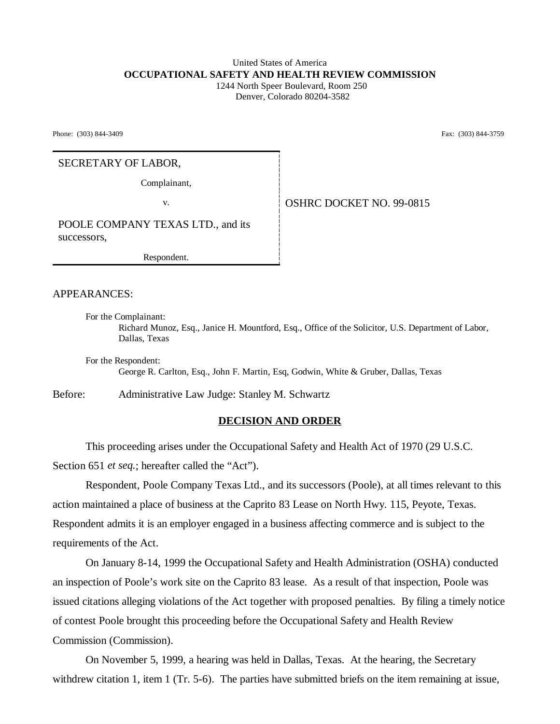# United States of America **OCCUPATIONAL SAFETY AND HEALTH REVIEW COMMISSION**

 1244 North Speer Boulevard, Room 250 Denver, Colorado 80204-3582

Phone: (303) 844-3409 **Fax:** (303) 844-3759

### SECRETARY OF LABOR,

Complainant,

v. Same **COLORET NO. 99-0815** 

POOLE COMPANY TEXAS LTD., and its successors,

Respondent.

APPEARANCES:

For the Complainant: Richard Munoz, Esq., Janice H. Mountford, Esq., Office of the Solicitor, U.S. Department of Labor, Dallas, Texas

For the Respondent: George R. Carlton, Esq., John F. Martin, Esq, Godwin, White & Gruber, Dallas, Texas

Before: Administrative Law Judge: Stanley M. Schwartz

### **DECISION AND ORDER**

This proceeding arises under the Occupational Safety and Health Act of 1970 (29 U.S.C. Section 651 *et seq.*; hereafter called the "Act").

Respondent, Poole Company Texas Ltd., and its successors (Poole), at all times relevant to this action maintained a place of business at the Caprito 83 Lease on North Hwy. 115, Peyote, Texas. Respondent admits it is an employer engaged in a business affecting commerce and is subject to the requirements of the Act.

On January 8-14, 1999 the Occupational Safety and Health Administration (OSHA) conducted an inspection of Poole's work site on the Caprito 83 lease. As a result of that inspection, Poole was issued citations alleging violations of the Act together with proposed penalties. By filing a timely notice of contest Poole brought this proceeding before the Occupational Safety and Health Review Commission (Commission).

On November 5, 1999, a hearing was held in Dallas, Texas. At the hearing, the Secretary withdrew citation 1, item 1 (Tr. 5-6). The parties have submitted briefs on the item remaining at issue,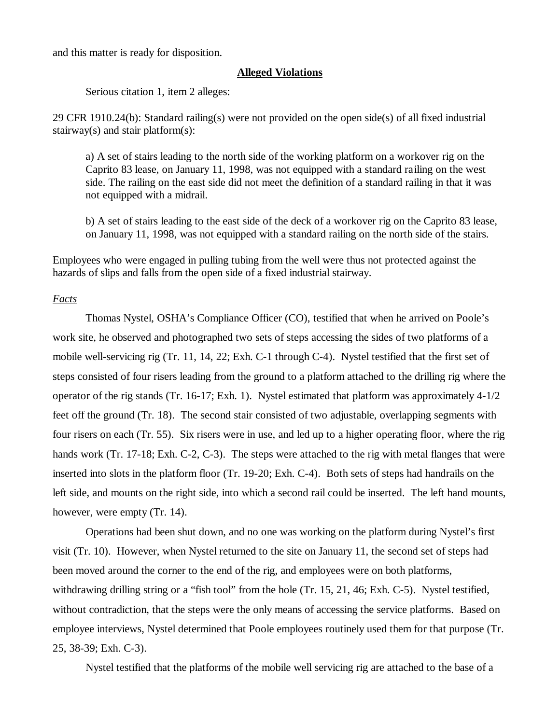and this matter is ready for disposition.

#### **Alleged Violations**

Serious citation 1, item 2 alleges:

29 CFR 1910.24(b): Standard railing(s) were not provided on the open side(s) of all fixed industrial stairway(s) and stair platform(s):

a) A set of stairs leading to the north side of the working platform on a workover rig on the Caprito 83 lease, on January 11, 1998, was not equipped with a standard railing on the west side. The railing on the east side did not meet the definition of a standard railing in that it was not equipped with a midrail.

b) A set of stairs leading to the east side of the deck of a workover rig on the Caprito 83 lease, on January 11, 1998, was not equipped with a standard railing on the north side of the stairs.

Employees who were engaged in pulling tubing from the well were thus not protected against the hazards of slips and falls from the open side of a fixed industrial stairway.

## *Facts*

Thomas Nystel, OSHA's Compliance Officer (CO), testified that when he arrived on Poole's work site, he observed and photographed two sets of steps accessing the sides of two platforms of a mobile well-servicing rig (Tr. 11, 14, 22; Exh. C-1 through C-4). Nystel testified that the first set of steps consisted of four risers leading from the ground to a platform attached to the drilling rig where the operator of the rig stands (Tr. 16-17; Exh. 1). Nystel estimated that platform was approximately 4-1/2 feet off the ground (Tr. 18). The second stair consisted of two adjustable, overlapping segments with four risers on each (Tr. 55). Six risers were in use, and led up to a higher operating floor, where the rig hands work (Tr. 17-18; Exh. C-2, C-3). The steps were attached to the rig with metal flanges that were inserted into slots in the platform floor (Tr. 19-20; Exh. C-4). Both sets of steps had handrails on the left side, and mounts on the right side, into which a second rail could be inserted. The left hand mounts, however, were empty (Tr. 14).

Operations had been shut down, and no one was working on the platform during Nystel's first visit (Tr. 10). However, when Nystel returned to the site on January 11, the second set of steps had been moved around the corner to the end of the rig, and employees were on both platforms, withdrawing drilling string or a "fish tool" from the hole (Tr. 15, 21, 46; Exh. C-5). Nystel testified, without contradiction, that the steps were the only means of accessing the service platforms. Based on employee interviews, Nystel determined that Poole employees routinely used them for that purpose (Tr. 25, 38-39; Exh. C-3).

Nystel testified that the platforms of the mobile well servicing rig are attached to the base of a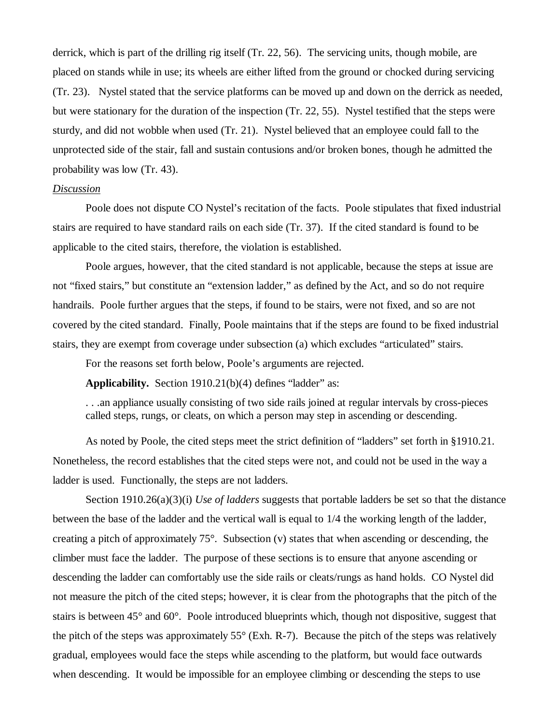derrick, which is part of the drilling rig itself (Tr. 22, 56). The servicing units, though mobile, are placed on stands while in use; its wheels are either lifted from the ground or chocked during servicing (Tr. 23). Nystel stated that the service platforms can be moved up and down on the derrick as needed, but were stationary for the duration of the inspection (Tr. 22, 55). Nystel testified that the steps were sturdy, and did not wobble when used (Tr. 21). Nystel believed that an employee could fall to the unprotected side of the stair, fall and sustain contusions and/or broken bones, though he admitted the probability was low (Tr. 43).

#### *Discussion*

Poole does not dispute CO Nystel's recitation of the facts. Poole stipulates that fixed industrial stairs are required to have standard rails on each side (Tr. 37). If the cited standard is found to be applicable to the cited stairs, therefore, the violation is established.

Poole argues, however, that the cited standard is not applicable, because the steps at issue are not "fixed stairs," but constitute an "extension ladder," as defined by the Act, and so do not require handrails. Poole further argues that the steps, if found to be stairs, were not fixed, and so are not covered by the cited standard. Finally, Poole maintains that if the steps are found to be fixed industrial stairs, they are exempt from coverage under subsection (a) which excludes "articulated" stairs.

For the reasons set forth below, Poole's arguments are rejected.

**Applicability.** Section 1910.21(b)(4) defines "ladder" as:

. . .an appliance usually consisting of two side rails joined at regular intervals by cross-pieces called steps, rungs, or cleats, on which a person may step in ascending or descending.

As noted by Poole, the cited steps meet the strict definition of "ladders" set forth in §1910.21. Nonetheless, the record establishes that the cited steps were not, and could not be used in the way a ladder is used. Functionally, the steps are not ladders.

Section 1910.26(a)(3)(i) *Use of ladders* suggests that portable ladders be set so that the distance between the base of the ladder and the vertical wall is equal to 1/4 the working length of the ladder, creating a pitch of approximately  $75^{\circ}$ . Subsection (v) states that when ascending or descending, the climber must face the ladder. The purpose of these sections is to ensure that anyone ascending or descending the ladder can comfortably use the side rails or cleats/rungs as hand holds. CO Nystel did not measure the pitch of the cited steps; however, it is clear from the photographs that the pitch of the stairs is between 45° and 60°. Poole introduced blueprints which, though not dispositive, suggest that the pitch of the steps was approximately 55° (Exh. R-7). Because the pitch of the steps was relatively gradual, employees would face the steps while ascending to the platform, but would face outwards when descending. It would be impossible for an employee climbing or descending the steps to use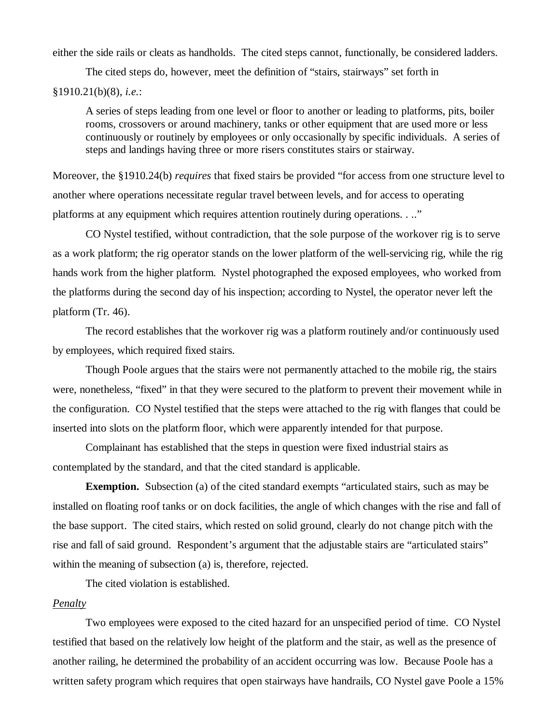either the side rails or cleats as handholds. The cited steps cannot, functionally, be considered ladders.

The cited steps do, however, meet the definition of "stairs, stairways" set forth in

### §1910.21(b)(8), *i.e.*:

A series of steps leading from one level or floor to another or leading to platforms, pits, boiler rooms, crossovers or around machinery, tanks or other equipment that are used more or less continuously or routinely by employees or only occasionally by specific individuals. A series of steps and landings having three or more risers constitutes stairs or stairway.

Moreover, the §1910.24(b) *requires* that fixed stairs be provided "for access from one structure level to another where operations necessitate regular travel between levels, and for access to operating platforms at any equipment which requires attention routinely during operations. . .."

CO Nystel testified, without contradiction, that the sole purpose of the workover rig is to serve as a work platform; the rig operator stands on the lower platform of the well-servicing rig, while the rig hands work from the higher platform. Nystel photographed the exposed employees, who worked from the platforms during the second day of his inspection; according to Nystel, the operator never left the platform (Tr. 46).

The record establishes that the workover rig was a platform routinely and/or continuously used by employees, which required fixed stairs.

Though Poole argues that the stairs were not permanently attached to the mobile rig, the stairs were, nonetheless, "fixed" in that they were secured to the platform to prevent their movement while in the configuration. CO Nystel testified that the steps were attached to the rig with flanges that could be inserted into slots on the platform floor, which were apparently intended for that purpose.

Complainant has established that the steps in question were fixed industrial stairs as contemplated by the standard, and that the cited standard is applicable.

**Exemption.** Subsection (a) of the cited standard exempts "articulated stairs, such as may be installed on floating roof tanks or on dock facilities, the angle of which changes with the rise and fall of the base support. The cited stairs, which rested on solid ground, clearly do not change pitch with the rise and fall of said ground. Respondent's argument that the adjustable stairs are "articulated stairs" within the meaning of subsection (a) is, therefore, rejected.

The cited violation is established.

# *Penalty*

Two employees were exposed to the cited hazard for an unspecified period of time. CO Nystel testified that based on the relatively low height of the platform and the stair, as well as the presence of another railing, he determined the probability of an accident occurring was low. Because Poole has a written safety program which requires that open stairways have handrails, CO Nystel gave Poole a 15%